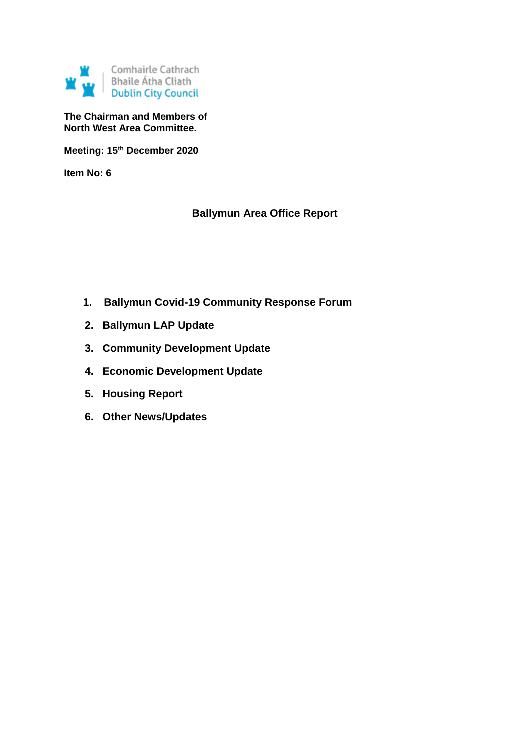

**The Chairman and Members of North West Area Committee.**

**Meeting: 15th December 2020**

**Item No: 6**

## **Ballymun Area Office Report**

- **1. Ballymun Covid-19 Community Response Forum**
- **2. Ballymun LAP Update**
- **3. Community Development Update**
- **4. Economic Development Update**
- **5. Housing Report**
- **6. Other News/Updates**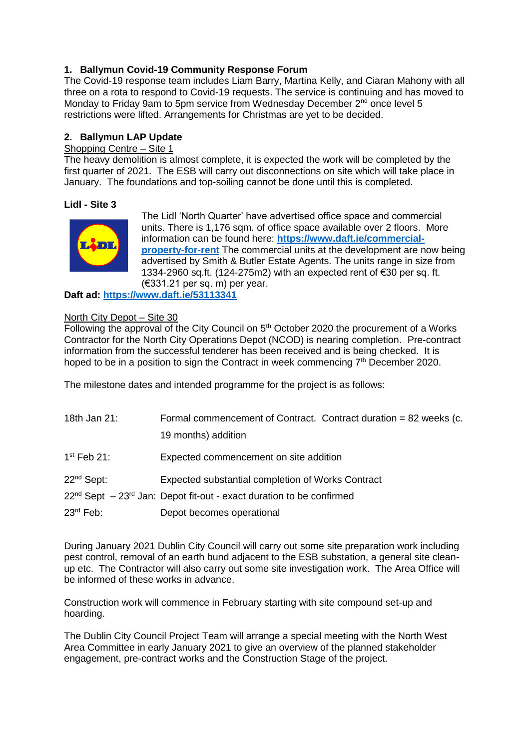## **1. Ballymun Covid-19 Community Response Forum**

The Covid-19 response team includes Liam Barry, Martina Kelly, and Ciaran Mahony with all three on a rota to respond to Covid-19 requests. The service is continuing and has moved to Monday to Friday 9am to 5pm service from Wednesday December 2<sup>nd</sup> once level 5 restrictions were lifted. Arrangements for Christmas are yet to be decided.

## **2. Ballymun LAP Update**

#### Shopping Centre – Site 1

The heavy demolition is almost complete, it is expected the work will be completed by the first quarter of 2021. The ESB will carry out disconnections on site which will take place in January. The foundations and top-soiling cannot be done until this is completed.

## **Lidl - Site 3**



The Lidl 'North Quarter' have advertised office space and commercial units. There is 1,176 sqm. of office space available over 2 floors. More information can be found here: **[https://www.daft.ie/commercial](https://www.daft.ie/commercial-property-for-rent/first-second-floors-north-quarter-ballymun-road-ballymun-co-dublin/2750341)[property-for-rent](https://www.daft.ie/commercial-property-for-rent/first-second-floors-north-quarter-ballymun-road-ballymun-co-dublin/2750341)** The commercial units at the development are now being advertised by Smith & Butler Estate Agents. The units range in size from 1334-2960 sq.ft. (124-275m2) with an expected rent of €30 per sq. ft. (€331.21 per sq. m) per year.

**Daft ad:<https://www.daft.ie/53113341>**

#### North City Depot – Site 30

Following the approval of the City Council on  $5<sup>th</sup>$  October 2020 the procurement of a Works Contractor for the North City Operations Depot (NCOD) is nearing completion. Pre-contract information from the successful tenderer has been received and is being checked. It is hoped to be in a position to sign the Contract in week commencing  $7<sup>th</sup>$  December 2020.

The milestone dates and intended programme for the project is as follows:

| 18th Jan 21:           | Formal commencement of Contract. Contract duration = 82 weeks (c.<br>19 months) addition |
|------------------------|------------------------------------------------------------------------------------------|
| $1st$ Feb 21:          | Expected commencement on site addition                                                   |
| 22 <sup>nd</sup> Sept: | Expected substantial completion of Works Contract                                        |
|                        | $22^{nd}$ Sept $-23^{rd}$ Jan: Depot fit-out - exact duration to be confirmed            |
| 23rd Feb:              | Depot becomes operational                                                                |

During January 2021 Dublin City Council will carry out some site preparation work including pest control, removal of an earth bund adjacent to the ESB substation, a general site cleanup etc. The Contractor will also carry out some site investigation work. The Area Office will be informed of these works in advance.

Construction work will commence in February starting with site compound set-up and hoarding.

The Dublin City Council Project Team will arrange a special meeting with the North West Area Committee in early January 2021 to give an overview of the planned stakeholder engagement, pre-contract works and the Construction Stage of the project.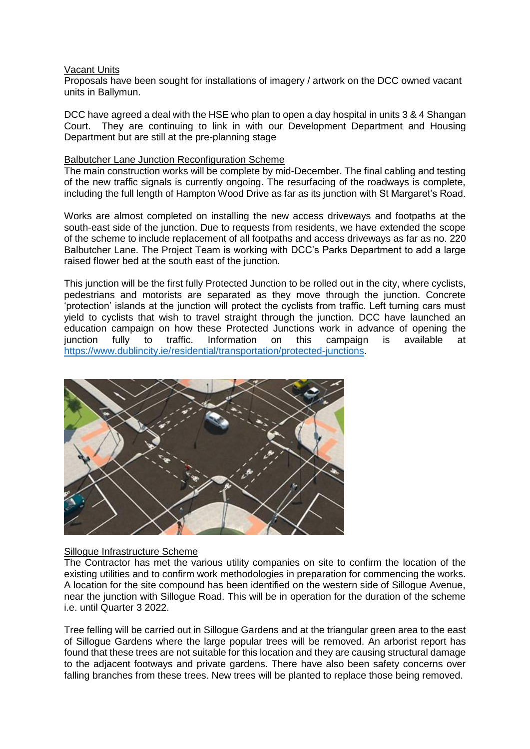#### Vacant Units

Proposals have been sought for installations of imagery / artwork on the DCC owned vacant units in Ballymun.

DCC have agreed a deal with the HSE who plan to open a day hospital in units 3 & 4 Shangan Court. They are continuing to link in with our Development Department and Housing Department but are still at the pre-planning stage

#### Balbutcher Lane Junction Reconfiguration Scheme

The main construction works will be complete by mid-December. The final cabling and testing of the new traffic signals is currently ongoing. The resurfacing of the roadways is complete, including the full length of Hampton Wood Drive as far as its junction with St Margaret's Road.

Works are almost completed on installing the new access driveways and footpaths at the south-east side of the junction. Due to requests from residents, we have extended the scope of the scheme to include replacement of all footpaths and access driveways as far as no. 220 Balbutcher Lane. The Project Team is working with DCC's Parks Department to add a large raised flower bed at the south east of the junction.

This junction will be the first fully Protected Junction to be rolled out in the city, where cyclists, pedestrians and motorists are separated as they move through the junction. Concrete 'protection' islands at the junction will protect the cyclists from traffic. Left turning cars must yield to cyclists that wish to travel straight through the junction. DCC have launched an education campaign on how these Protected Junctions work in advance of opening the junction fully to traffic. Information on this campaign is available at [https://www.dublincity.ie/residential/transportation/protected-junctions.](https://www.dublincity.ie/residential/transportation/protected-junctions)



#### Sillogue Infrastructure Scheme

The Contractor has met the various utility companies on site to confirm the location of the existing utilities and to confirm work methodologies in preparation for commencing the works. A location for the site compound has been identified on the western side of Sillogue Avenue, near the junction with Sillogue Road. This will be in operation for the duration of the scheme i.e. until Quarter 3 2022.

Tree felling will be carried out in Sillogue Gardens and at the triangular green area to the east of Sillogue Gardens where the large popular trees will be removed. An arborist report has found that these trees are not suitable for this location and they are causing structural damage to the adjacent footways and private gardens. There have also been safety concerns over falling branches from these trees. New trees will be planted to replace those being removed.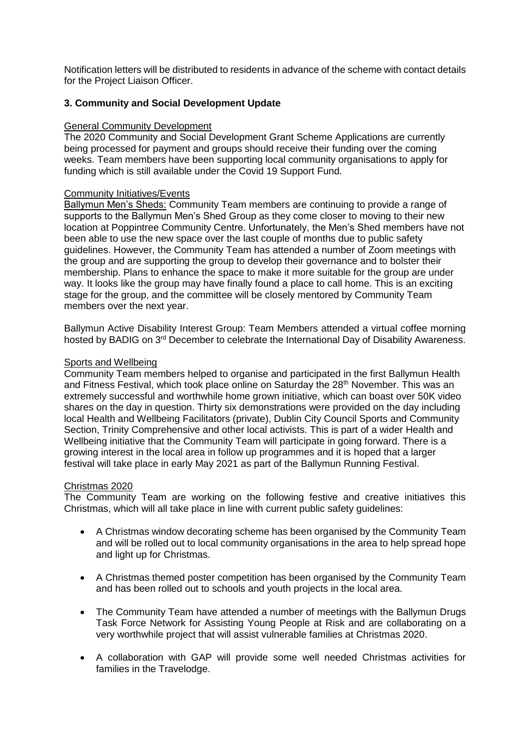Notification letters will be distributed to residents in advance of the scheme with contact details for the Project Liaison Officer.

#### **3. Community and Social Development Update**

#### General Community Development

The 2020 Community and Social Development Grant Scheme Applications are currently being processed for payment and groups should receive their funding over the coming weeks. Team members have been supporting local community organisations to apply for funding which is still available under the Covid 19 Support Fund.

#### Community Initiatives/Events

Ballymun Men's Sheds: Community Team members are continuing to provide a range of supports to the Ballymun Men's Shed Group as they come closer to moving to their new location at Poppintree Community Centre. Unfortunately, the Men's Shed members have not been able to use the new space over the last couple of months due to public safety guidelines. However, the Community Team has attended a number of Zoom meetings with the group and are supporting the group to develop their governance and to bolster their membership. Plans to enhance the space to make it more suitable for the group are under way. It looks like the group may have finally found a place to call home. This is an exciting stage for the group, and the committee will be closely mentored by Community Team members over the next year.

Ballymun Active Disability Interest Group: Team Members attended a virtual coffee morning hosted by BADIG on 3<sup>rd</sup> December to celebrate the International Day of Disability Awareness.

#### Sports and Wellbeing

Community Team members helped to organise and participated in the first Ballymun Health and Fitness Festival, which took place online on Saturday the  $28<sup>th</sup>$  November. This was an extremely successful and worthwhile home grown initiative, which can boast over 50K video shares on the day in question. Thirty six demonstrations were provided on the day including local Health and Wellbeing Facilitators (private), Dublin City Council Sports and Community Section, Trinity Comprehensive and other local activists. This is part of a wider Health and Wellbeing initiative that the Community Team will participate in going forward. There is a growing interest in the local area in follow up programmes and it is hoped that a larger festival will take place in early May 2021 as part of the Ballymun Running Festival.

#### Christmas 2020

The Community Team are working on the following festive and creative initiatives this Christmas, which will all take place in line with current public safety guidelines:

- A Christmas window decorating scheme has been organised by the Community Team and will be rolled out to local community organisations in the area to help spread hope and light up for Christmas.
- A Christmas themed poster competition has been organised by the Community Team and has been rolled out to schools and youth projects in the local area.
- The Community Team have attended a number of meetings with the Ballymun Drugs Task Force Network for Assisting Young People at Risk and are collaborating on a very worthwhile project that will assist vulnerable families at Christmas 2020.
- A collaboration with GAP will provide some well needed Christmas activities for families in the Travelodge.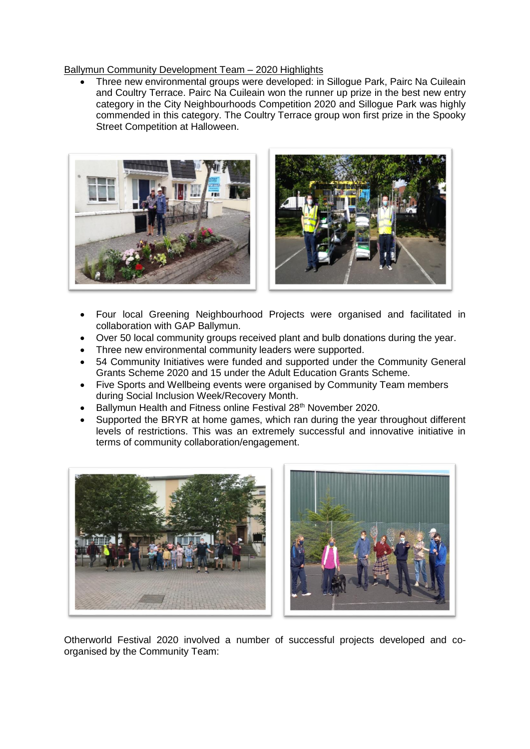#### Ballymun Community Development Team – 2020 Highlights

 Three new environmental groups were developed: in Sillogue Park, Pairc Na Cuileain and Coultry Terrace. Pairc Na Cuileain won the runner up prize in the best new entry category in the City Neighbourhoods Competition 2020 and Sillogue Park was highly commended in this category. The Coultry Terrace group won first prize in the Spooky Street Competition at Halloween.





- Four local Greening Neighbourhood Projects were organised and facilitated in collaboration with GAP Ballymun.
- Over 50 local community groups received plant and bulb donations during the year.
- Three new environmental community leaders were supported.
- 54 Community Initiatives were funded and supported under the Community General Grants Scheme 2020 and 15 under the Adult Education Grants Scheme.
- Five Sports and Wellbeing events were organised by Community Team members during Social Inclusion Week/Recovery Month.
- Ballymun Health and Fitness online Festival 28<sup>th</sup> November 2020.
- Supported the BRYR at home games, which ran during the year throughout different levels of restrictions. This was an extremely successful and innovative initiative in terms of community collaboration/engagement.





Otherworld Festival 2020 involved a number of successful projects developed and coorganised by the Community Team: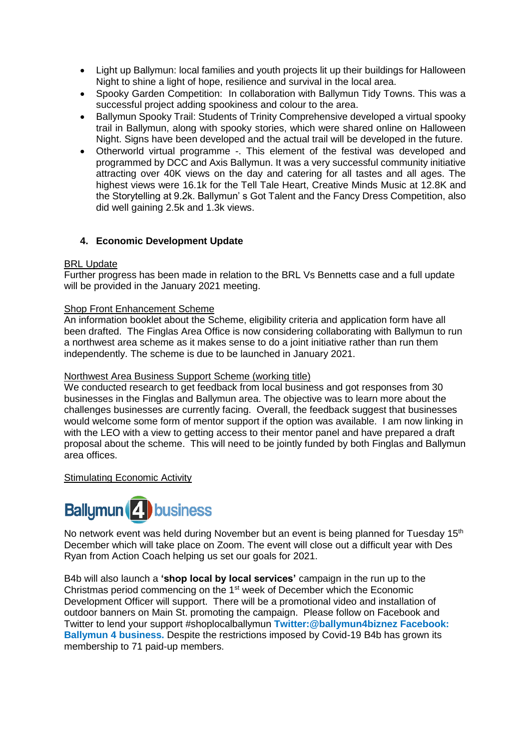- Light up Ballymun: local families and youth projects lit up their buildings for Halloween Night to shine a light of hope, resilience and survival in the local area.
- Spooky Garden Competition: In collaboration with Ballymun Tidy Towns. This was a successful project adding spookiness and colour to the area.
- Ballymun Spooky Trail: Students of Trinity Comprehensive developed a virtual spooky trail in Ballymun, along with spooky stories, which were shared online on Halloween Night. Signs have been developed and the actual trail will be developed in the future.
- Otherworld virtual programme -. This element of the festival was developed and programmed by DCC and Axis Ballymun. It was a very successful community initiative attracting over 40K views on the day and catering for all tastes and all ages. The highest views were 16.1k for the Tell Tale Heart, Creative Minds Music at 12.8K and the Storytelling at 9.2k. Ballymun' s Got Talent and the Fancy Dress Competition, also did well gaining 2.5k and 1.3k views.

## **4. Economic Development Update**

#### BRL Update

Further progress has been made in relation to the BRL Vs Bennetts case and a full update will be provided in the January 2021 meeting.

#### Shop Front Enhancement Scheme

An information booklet about the Scheme, eligibility criteria and application form have all been drafted. The Finglas Area Office is now considering collaborating with Ballymun to run a northwest area scheme as it makes sense to do a joint initiative rather than run them independently. The scheme is due to be launched in January 2021.

#### Northwest Area Business Support Scheme (working title)

We conducted research to get feedback from local business and got responses from 30 businesses in the Finglas and Ballymun area. The objective was to learn more about the challenges businesses are currently facing. Overall, the feedback suggest that businesses would welcome some form of mentor support if the option was available. I am now linking in with the LEO with a view to getting access to their mentor panel and have prepared a draft proposal about the scheme. This will need to be jointly funded by both Finglas and Ballymun area offices.

#### Stimulating Economic Activity



No network event was held during November but an event is being planned for Tuesday 15<sup>th</sup> December which will take place on Zoom. The event will close out a difficult year with Des Ryan from Action Coach helping us set our goals for 2021.

B4b will also launch a **'shop local by local services'** campaign in the run up to the Christmas period commencing on the 1<sup>st</sup> week of December which the Economic Development Officer will support. There will be a promotional video and installation of outdoor banners on Main St. promoting the campaign. Please follow on Facebook and Twitter to lend your support #shoplocalballymun **Twitter:@ballymun4biznez Facebook: Ballymun 4 business.** Despite the restrictions imposed by Covid-19 B4b has grown its membership to 71 paid-up members.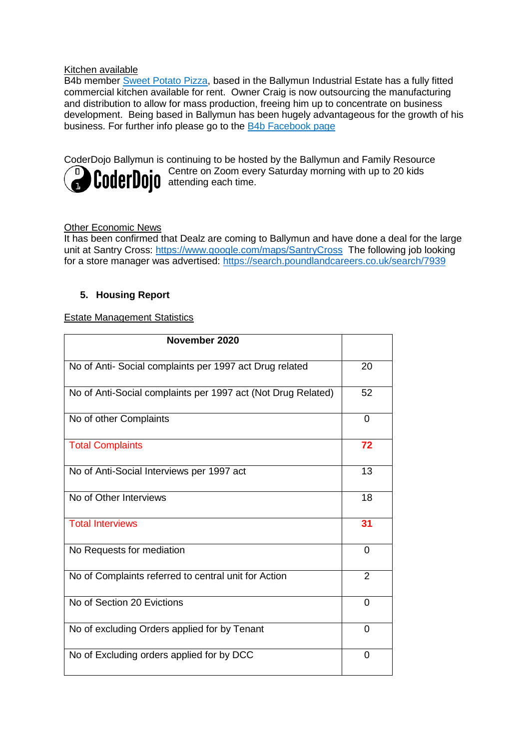Kitchen available

B4b member [Sweet Potato Pizza,](https://www.sweetpotatopizza.ie/) based in the Ballymun Industrial Estate has a fully fitted commercial kitchen available for rent. Owner Craig is now outsourcing the manufacturing and distribution to allow for mass production, freeing him up to concentrate on business development. Being based in Ballymun has been hugely advantageous for the growth of his business. For further info please go to the **B4b Facebook page** 

CoderDojo Ballymun is continuing to be hosted by the Ballymun and Family Resource Centre on Zoom every Saturday morning with up to 20 kids attending each time.

#### **Other Economic News**

It has been confirmed that Dealz are coming to Ballymun and have done a deal for the large unit at Santry Cross: [https://www.google.com/maps/SantryCross](https://www.google.com/maps/@53.4009892,-6.2645969,3a,75y,224.1h,95.73t/data=!3m6!1e1!3m4!1spurS54_njVPJhFMrrmDvbA!2e0!7i16384!8i8192) The following job looking for a store manager was advertised: [https://search.poundlandcareers.co.uk/search/7939](https://scanmail.trustwave.com/?c=17268&d=097H35eXeJ-5vAiShIjOkWJohMHgA1EwZpIGHzsiOg&s=342&u=https%3a%2f%2fsearch%2epoundlandcareers%2eco%2euk%2fsearch%2f7939) 

## **5. Housing Report**

#### Estate Management Statistics

| November 2020                                                |          |
|--------------------------------------------------------------|----------|
| No of Anti- Social complaints per 1997 act Drug related      | 20       |
| No of Anti-Social complaints per 1997 act (Not Drug Related) | 52       |
| No of other Complaints                                       | 0        |
| <b>Total Complaints</b>                                      | 72       |
| No of Anti-Social Interviews per 1997 act                    | 13       |
| No of Other Interviews                                       | 18       |
| <b>Total Interviews</b>                                      | 31       |
| No Requests for mediation                                    | 0        |
| No of Complaints referred to central unit for Action         | 2        |
| No of Section 20 Evictions                                   | $\Omega$ |
| No of excluding Orders applied for by Tenant                 | $\Omega$ |
| No of Excluding orders applied for by DCC                    | $\Omega$ |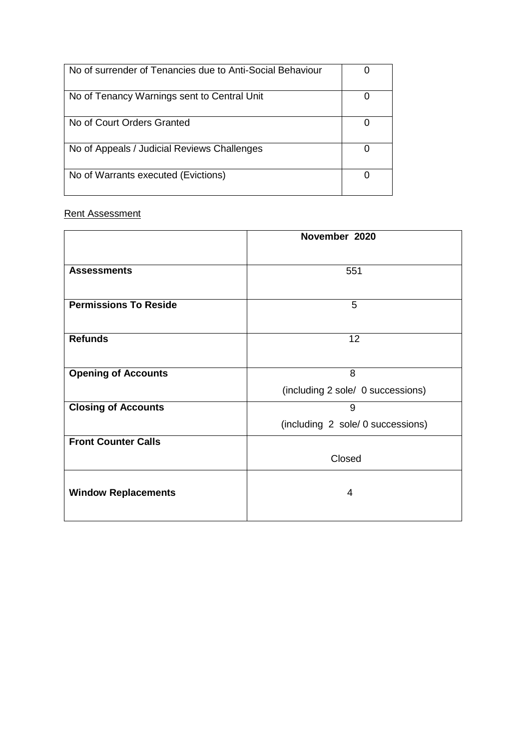| No of surrender of Tenancies due to Anti-Social Behaviour |  |
|-----------------------------------------------------------|--|
| No of Tenancy Warnings sent to Central Unit               |  |
| No of Court Orders Granted                                |  |
| No of Appeals / Judicial Reviews Challenges               |  |
| No of Warrants executed (Evictions)                       |  |

# Rent Assessment

|                              | November 2020                     |  |  |
|------------------------------|-----------------------------------|--|--|
|                              |                                   |  |  |
| <b>Assessments</b>           | 551                               |  |  |
|                              |                                   |  |  |
| <b>Permissions To Reside</b> | 5                                 |  |  |
|                              |                                   |  |  |
| <b>Refunds</b>               | 12                                |  |  |
|                              |                                   |  |  |
| <b>Opening of Accounts</b>   | 8                                 |  |  |
|                              | (including 2 sole/ 0 successions) |  |  |
| <b>Closing of Accounts</b>   | 9                                 |  |  |
|                              | (including 2 sole/ 0 successions) |  |  |
| <b>Front Counter Calls</b>   |                                   |  |  |
|                              | Closed                            |  |  |
|                              |                                   |  |  |
| <b>Window Replacements</b>   | 4                                 |  |  |
|                              |                                   |  |  |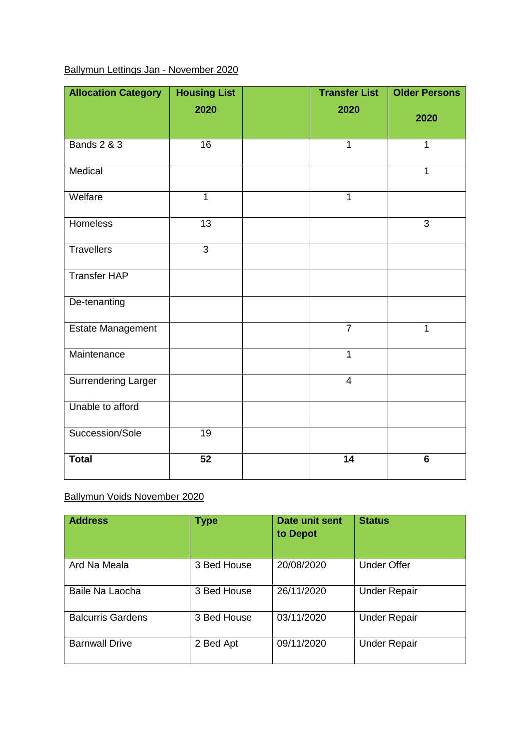# Ballymun Lettings Jan - November 2020

| <b>Allocation Category</b> | <b>Housing List</b> | <b>Transfer List</b> | <b>Older Persons</b> |
|----------------------------|---------------------|----------------------|----------------------|
|                            | 2020                | 2020                 | 2020                 |
| <b>Bands 2 &amp; 3</b>     | 16                  | $\mathbf{1}$         | 1                    |
| Medical                    |                     |                      | 1                    |
| Welfare                    | $\mathbf{1}$        | $\mathbf{1}$         |                      |
| <b>Homeless</b>            | $\overline{13}$     |                      | $\overline{3}$       |
| <b>Travellers</b>          | $\overline{3}$      |                      |                      |
| <b>Transfer HAP</b>        |                     |                      |                      |
| De-tenanting               |                     |                      |                      |
| <b>Estate Management</b>   |                     | $\overline{7}$       | 1                    |
| Maintenance                |                     | $\mathbf{1}$         |                      |
| <b>Surrendering Larger</b> |                     | $\overline{4}$       |                      |
| Unable to afford           |                     |                      |                      |
| Succession/Sole            | 19                  |                      |                      |
| <b>Total</b>               | 52                  | $\overline{14}$      | $6\phantom{1}$       |

# Ballymun Voids November 2020

| <b>Address</b>           | <b>Type</b> | Date unit sent<br>to Depot | <b>Status</b>       |
|--------------------------|-------------|----------------------------|---------------------|
| Ard Na Meala             | 3 Bed House | 20/08/2020                 | <b>Under Offer</b>  |
| Baile Na Laocha          | 3 Bed House | 26/11/2020                 | <b>Under Repair</b> |
| <b>Balcurris Gardens</b> | 3 Bed House | 03/11/2020                 | <b>Under Repair</b> |
| <b>Barnwall Drive</b>    | 2 Bed Apt   | 09/11/2020                 | <b>Under Repair</b> |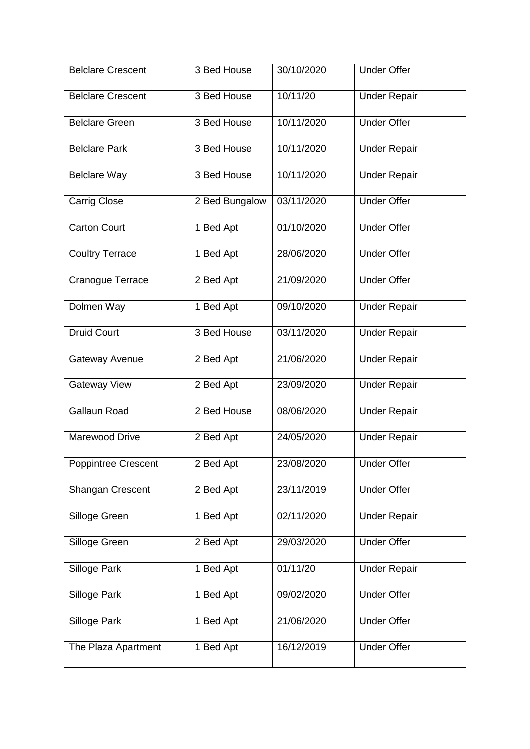| <b>Belclare Crescent</b> | 3 Bed House    | 30/10/2020 | <b>Under Offer</b>  |
|--------------------------|----------------|------------|---------------------|
| <b>Belclare Crescent</b> | 3 Bed House    | 10/11/20   | <b>Under Repair</b> |
| <b>Belclare Green</b>    | 3 Bed House    | 10/11/2020 | <b>Under Offer</b>  |
| <b>Belclare Park</b>     | 3 Bed House    | 10/11/2020 | <b>Under Repair</b> |
| <b>Belclare Way</b>      | 3 Bed House    | 10/11/2020 | <b>Under Repair</b> |
| <b>Carrig Close</b>      | 2 Bed Bungalow | 03/11/2020 | <b>Under Offer</b>  |
| <b>Carton Court</b>      | 1 Bed Apt      | 01/10/2020 | <b>Under Offer</b>  |
| <b>Coultry Terrace</b>   | 1 Bed Apt      | 28/06/2020 | <b>Under Offer</b>  |
| Cranogue Terrace         | 2 Bed Apt      | 21/09/2020 | <b>Under Offer</b>  |
| Dolmen Way               | 1 Bed Apt      | 09/10/2020 | <b>Under Repair</b> |
| <b>Druid Court</b>       | 3 Bed House    | 03/11/2020 | <b>Under Repair</b> |
| Gateway Avenue           | 2 Bed Apt      | 21/06/2020 | <b>Under Repair</b> |
| <b>Gateway View</b>      | 2 Bed Apt      | 23/09/2020 | <b>Under Repair</b> |
| Gallaun Road             | 2 Bed House    | 08/06/2020 | <b>Under Repair</b> |
| Marewood Drive           | 2 Bed Apt      | 24/05/2020 | <b>Under Repair</b> |
| Poppintree Crescent      | 2 Bed Apt      | 23/08/2020 | <b>Under Offer</b>  |
| Shangan Crescent         | 2 Bed Apt      | 23/11/2019 | <b>Under Offer</b>  |
| Silloge Green            | 1 Bed Apt      | 02/11/2020 | <b>Under Repair</b> |
| Silloge Green            | 2 Bed Apt      | 29/03/2020 | <b>Under Offer</b>  |
| Silloge Park             | 1 Bed Apt      | 01/11/20   | <b>Under Repair</b> |
| Silloge Park             | 1 Bed Apt      | 09/02/2020 | <b>Under Offer</b>  |
| Silloge Park             | 1 Bed Apt      | 21/06/2020 | <b>Under Offer</b>  |
| The Plaza Apartment      | 1 Bed Apt      | 16/12/2019 | <b>Under Offer</b>  |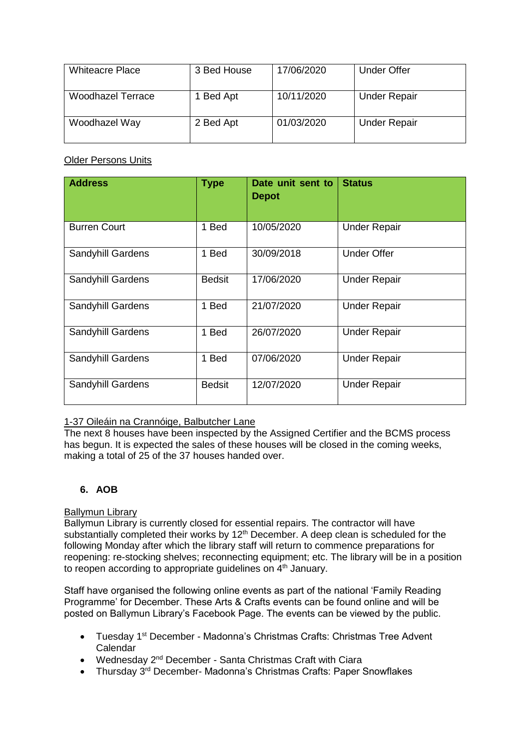| <b>Whiteacre Place</b>   | 3 Bed House | 17/06/2020 | Under Offer         |
|--------------------------|-------------|------------|---------------------|
| <b>Woodhazel Terrace</b> | 1 Bed Apt   | 10/11/2020 | <b>Under Repair</b> |
| Woodhazel Way            | 2 Bed Apt   | 01/03/2020 | <b>Under Repair</b> |

## Older Persons Units

| <b>Address</b>      | <b>Type</b>   | Date unit sent to<br><b>Depot</b> | <b>Status</b>       |
|---------------------|---------------|-----------------------------------|---------------------|
|                     |               |                                   |                     |
| <b>Burren Court</b> | 1 Bed         | 10/05/2020                        | <b>Under Repair</b> |
| Sandyhill Gardens   | 1 Bed         | 30/09/2018                        | <b>Under Offer</b>  |
| Sandyhill Gardens   | <b>Bedsit</b> | 17/06/2020                        | <b>Under Repair</b> |
| Sandyhill Gardens   | 1 Bed         | 21/07/2020                        | <b>Under Repair</b> |
| Sandyhill Gardens   | 1 Bed         | 26/07/2020                        | <b>Under Repair</b> |
| Sandyhill Gardens   | 1 Bed         | 07/06/2020                        | <b>Under Repair</b> |
| Sandyhill Gardens   | <b>Bedsit</b> | 12/07/2020                        | <b>Under Repair</b> |

## 1-37 Oileáin na Crannóige, Balbutcher Lane

The next 8 houses have been inspected by the Assigned Certifier and the BCMS process has begun. It is expected the sales of these houses will be closed in the coming weeks, making a total of 25 of the 37 houses handed over.

## **6. AOB**

#### Ballymun Library

Ballymun Library is currently closed for essential repairs. The contractor will have substantially completed their works by  $12<sup>th</sup>$  December. A deep clean is scheduled for the following Monday after which the library staff will return to commence preparations for reopening: re-stocking shelves; reconnecting equipment; etc. The library will be in a position to reopen according to appropriate guidelines on 4<sup>th</sup> January.

Staff have organised the following online events as part of the national 'Family Reading Programme' for December. These Arts & Crafts events can be found online and will be posted on Ballymun Library's Facebook Page. The events can be viewed by the public.

- Tuesday 1<sup>st</sup> December Madonna's Christmas Crafts: Christmas Tree Advent Calendar
- Wednesday 2<sup>nd</sup> December Santa Christmas Craft with Ciara
- Thursday 3<sup>rd</sup> December- Madonna's Christmas Crafts: Paper Snowflakes